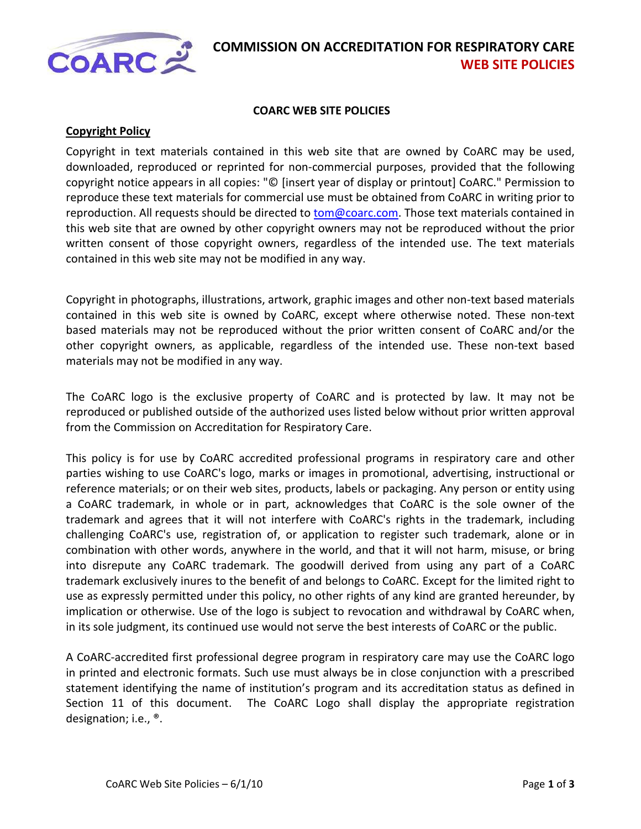

#### **COARC WEB SITE POLICIES**

#### **Copyright Policy**

Copyright in text materials contained in this web site that are owned by CoARC may be used, downloaded, reproduced or reprinted for non-commercial purposes, provided that the following copyright notice appears in all copies: "© [insert year of display or printout] CoARC." Permission to reproduce these text materials for commercial use must be obtained from CoARC in writing prior to reproduction. All requests should be directed to **tom@coarc.com**. Those text materials contained in this web site that are owned by other copyright owners may not be reproduced without the prior written consent of those copyright owners, regardless of the intended use. The text materials contained in this web site may not be modified in any way.

Copyright in photographs, illustrations, artwork, graphic images and other non-text based materials contained in this web site is owned by CoARC, except where otherwise noted. These non-text based materials may not be reproduced without the prior written consent of CoARC and/or the other copyright owners, as applicable, regardless of the intended use. These non-text based materials may not be modified in any way.

The CoARC logo is the exclusive property of CoARC and is protected by law. It may not be reproduced or published outside of the authorized uses listed below without prior written approval from the Commission on Accreditation for Respiratory Care.

This policy is for use by CoARC accredited professional programs in respiratory care and other parties wishing to use CoARC's logo, marks or images in promotional, advertising, instructional or reference materials; or on their web sites, products, labels or packaging. Any person or entity using a CoARC trademark, in whole or in part, acknowledges that CoARC is the sole owner of the trademark and agrees that it will not interfere with CoARC's rights in the trademark, including challenging CoARC's use, registration of, or application to register such trademark, alone or in combination with other words, anywhere in the world, and that it will not harm, misuse, or bring into disrepute any CoARC trademark. The goodwill derived from using any part of a CoARC trademark exclusively inures to the benefit of and belongs to CoARC. Except for the limited right to use as expressly permitted under this policy, no other rights of any kind are granted hereunder, by implication or otherwise. Use of the logo is subject to revocation and withdrawal by CoARC when, in its sole judgment, its continued use would not serve the best interests of CoARC or the public.

A CoARC-accredited first professional degree program in respiratory care may use the CoARC logo in printed and electronic formats. Such use must always be in close conjunction with a prescribed statement identifying the name of institution's program and its accreditation status as defined in Section 11 of this document. The CoARC Logo shall display the appropriate registration designation; i.e., ®.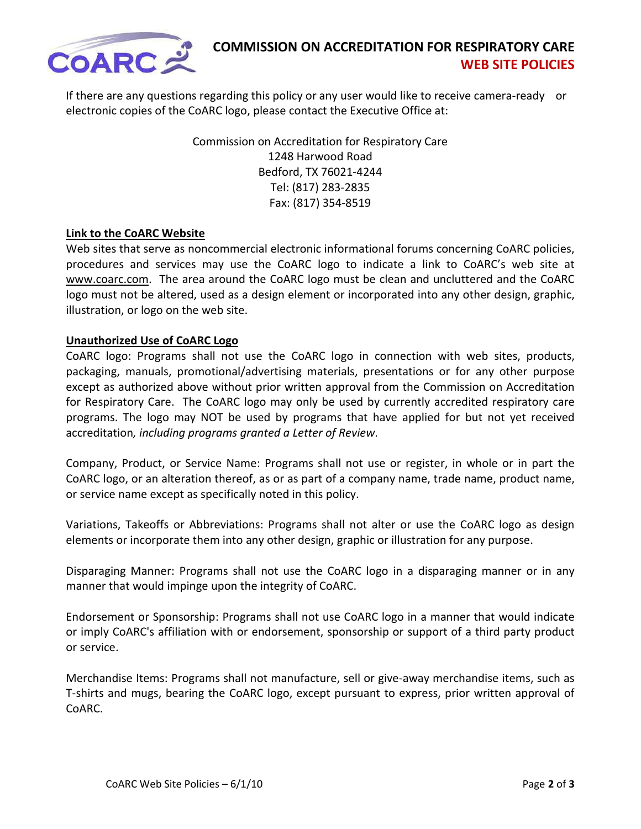

If there are any questions regarding this policy or any user would like to receive camera-ready or electronic copies of the CoARC logo, please contact the Executive Office at:

> Commission on Accreditation for Respiratory Care 1248 Harwood Road Bedford, TX 76021-4244 Tel: (817) 283-2835 Fax: (817) 354-8519

## **Link to the CoARC Website**

Web sites that serve as noncommercial electronic informational forums concerning CoARC policies, procedures and services may use the CoARC logo to indicate a link to CoARC's web site at [www.coarc.com.](http://www.coarc.com/) The area around the CoARC logo must be clean and uncluttered and the CoARC logo must not be altered, used as a design element or incorporated into any other design, graphic, illustration, or logo on the web site.

### **Unauthorized Use of CoARC Logo**

CoARC logo: Programs shall not use the CoARC logo in connection with web sites, products, packaging, manuals, promotional/advertising materials, presentations or for any other purpose except as authorized above without prior written approval from the Commission on Accreditation for Respiratory Care. The CoARC logo may only be used by currently accredited respiratory care programs. The logo may NOT be used by programs that have applied for but not yet received accreditation*, including programs granted a Letter of Review*.

Company, Product, or Service Name: Programs shall not use or register, in whole or in part the CoARC logo, or an alteration thereof, as or as part of a company name, trade name, product name, or service name except as specifically noted in this policy.

Variations, Takeoffs or Abbreviations: Programs shall not alter or use the CoARC logo as design elements or incorporate them into any other design, graphic or illustration for any purpose.

Disparaging Manner: Programs shall not use the CoARC logo in a disparaging manner or in any manner that would impinge upon the integrity of CoARC.

Endorsement or Sponsorship: Programs shall not use CoARC logo in a manner that would indicate or imply CoARC's affiliation with or endorsement, sponsorship or support of a third party product or service.

Merchandise Items: Programs shall not manufacture, sell or give-away merchandise items, such as T-shirts and mugs, bearing the CoARC logo, except pursuant to express, prior written approval of CoARC.